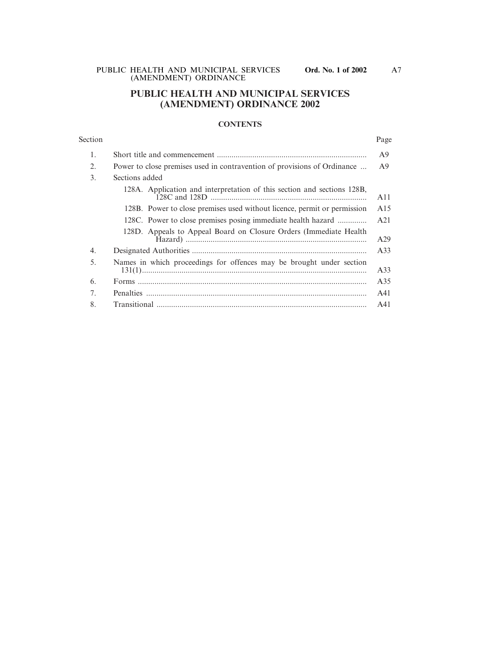# **PUBLIC HEALTH AND MUNICIPAL SERVICES (AMENDMENT) ORDINANCE 2002**

## **CONTENTS**

## Section Page

| 1.               |                                                                          | A <sup>9</sup> |
|------------------|--------------------------------------------------------------------------|----------------|
| 2.               | Power to close premises used in contravention of provisions of Ordinance | A9             |
| 3.               | Sections added                                                           |                |
|                  | 128A. Application and interpretation of this section and sections 128B,  | A11            |
|                  | 128B. Power to close premises used without licence, permit or permission | A15            |
|                  | 128C. Power to close premises posing immediate health hazard             | A21            |
|                  | 128D. Appeals to Appeal Board on Closure Orders (Immediate Health)       | A29            |
| $\overline{4}$ . |                                                                          | A33            |
| 5.               | Names in which proceedings for offences may be brought under section     | A33            |
| 6.               |                                                                          | A35            |
| 7.               |                                                                          | A41            |
| 8.               |                                                                          | A41            |

A7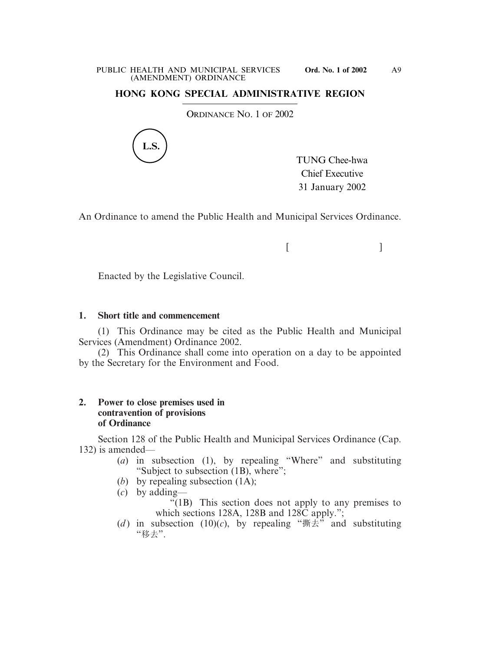# **HONG KONG SPECIAL ADMINISTRATIVE REGION**

ORDINANCE NO. 1 OF 2002



TUNG Chee-hwa Chief Executive 31 January 2002

An Ordinance to amend the Public Health and Municipal Services Ordinance.

 $[$   $]$ 

Enacted by the Legislative Council.

# **1. Short title and commencement**

(1) This Ordinance may be cited as the Public Health and Municipal Services (Amendment) Ordinance 2002.

(2) This Ordinance shall come into operation on a day to be appointed by the Secretary for the Environment and Food.

# **2. Power to close premises used in contravention of provisions of Ordinance**

Section 128 of the Public Health and Municipal Services Ordinance (Cap. 132) is amended—

- (*a*) in subsection (1), by repealing "Where" and substituting "Subject to subsection (1B), where";
- (*b*) by repealing subsection (1A);
- (*c*) by adding—
	- "(1B) This section does not apply to any premises to which sections 128A, 128B and 128C apply.":
- (*d*) in subsection (10)(*c*), by repealing " $\sharp \sharp \dagger$ " and substituting "移去".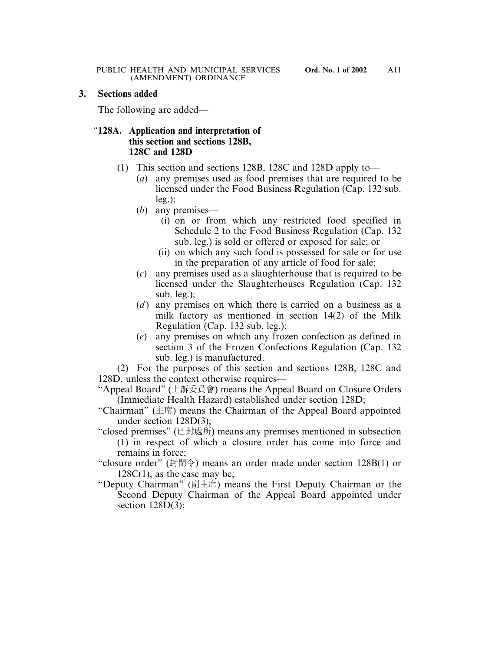# **3. Sections added**

The following are added—

# "**128A. Application and interpretation of this section and sections 128B, 128C and 128D**

- (1) This section and sections 128B, 128C and 128D apply to—
	- (*a*) any premises used as food premises that are required to be licensed under the Food Business Regulation (Cap. 132 sub. leg.);
	- (*b*) any premises—
		- (i) on or from which any restricted food specified in Schedule 2 to the Food Business Regulation (Cap. 132 sub. leg.) is sold or offered or exposed for sale; or
		- (ii) on which any such food is possessed for sale or for use in the preparation of any article of food for sale;
	- (*c*) any premises used as a slaughterhouse that is required to be licensed under the Slaughterhouses Regulation (Cap. 132 sub. leg.);
	- (*d*) any premises on which there is carried on a business as a milk factory as mentioned in section 14(2) of the Milk Regulation (Cap. 132 sub. leg.);
	- (*e*) any premises on which any frozen confection as defined in section 3 of the Frozen Confections Regulation (Cap. 132 sub. leg.) is manufactured.

(2) For the purposes of this section and sections 128B, 128C and 128D, unless the context otherwise requires—

- "Appeal Board" (上訴委員會) means the Appeal Board on Closure Orders (Immediate Health Hazard) established under section 128D;
- "Chairman" (主席) means the Chairman of the Appeal Board appointed under section 128D(3);
- "closed premises" (已封處所) means any premises mentioned in subsection (1) in respect of which a closure order has come into force and remains in force;
- "closure order" (封閉令) means an order made under section 128B(1) or  $128C(1)$ , as the case may be;
- "Deputy Chairman" (副主席) means the First Deputy Chairman or the Second Deputy Chairman of the Appeal Board appointed under section  $128D(3)$ ;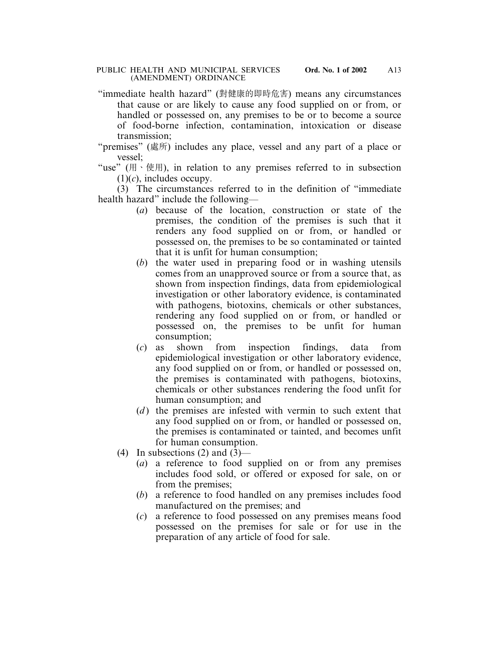"immediate health hazard" (對健康的即時危害) means any circumstances that cause or are likely to cause any food supplied on or from, or handled or possessed on, any premises to be or to become a source of food-borne infection, contamination, intoxication or disease transmission;

"premises" (處所) includes any place, vessel and any part of a place or vessel;

"use" ( $\uparrow \uparrow$ ),  $\uparrow$  in relation to any premises referred to in subsection  $(1)(c)$ , includes occupy.

(3) The circumstances referred to in the definition of "immediate health hazard" include the following—

- (*a*) because of the location, construction or state of the premises, the condition of the premises is such that it renders any food supplied on or from, or handled or possessed on, the premises to be so contaminated or tainted that it is unfit for human consumption;
- (*b*) the water used in preparing food or in washing utensils comes from an unapproved source or from a source that, as shown from inspection findings, data from epidemiological investigation or other laboratory evidence, is contaminated with pathogens, biotoxins, chemicals or other substances, rendering any food supplied on or from, or handled or possessed on, the premises to be unfit for human consumption;
- (*c*) as shown from inspection findings, data from epidemiological investigation or other laboratory evidence, any food supplied on or from, or handled or possessed on, the premises is contaminated with pathogens, biotoxins, chemicals or other substances rendering the food unfit for human consumption; and
- (*d*) the premises are infested with vermin to such extent that any food supplied on or from, or handled or possessed on, the premises is contaminated or tainted, and becomes unfit for human consumption.
- (4) In subsections  $(2)$  and  $(3)$ 
	- (*a*) a reference to food supplied on or from any premises includes food sold, or offered or exposed for sale, on or from the premises;
	- (*b*) a reference to food handled on any premises includes food manufactured on the premises; and
	- (*c*) a reference to food possessed on any premises means food possessed on the premises for sale or for use in the preparation of any article of food for sale.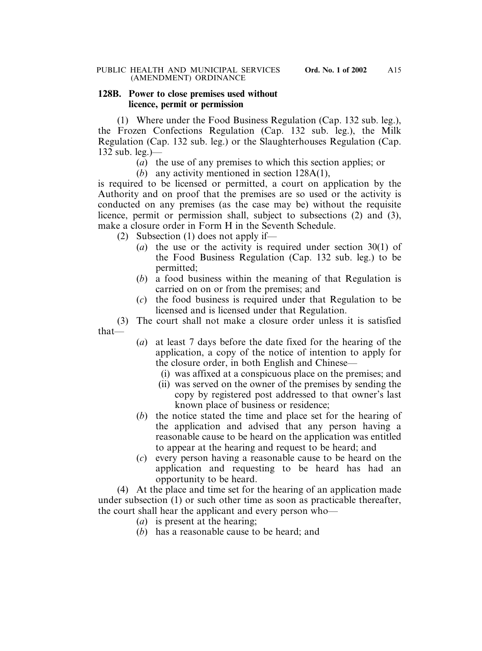# **128B. Power to close premises used without licence, permit or permission**

(1) Where under the Food Business Regulation (Cap. 132 sub. leg.), the Frozen Confections Regulation (Cap. 132 sub. leg.), the Milk Regulation (Cap. 132 sub. leg.) or the Slaughterhouses Regulation (Cap. 132 sub. leg.)—

(*a*) the use of any premises to which this section applies; or

(*b*) any activity mentioned in section 128A(1),

is required to be licensed or permitted, a court on application by the Authority and on proof that the premises are so used or the activity is conducted on any premises (as the case may be) without the requisite licence, permit or permission shall, subject to subsections (2) and (3), make a closure order in Form H in the Seventh Schedule.

(2) Subsection (1) does not apply if—

- (*a*) the use or the activity is required under section 30(1) of the Food Business Regulation (Cap. 132 sub. leg.) to be permitted;
- (*b*) a food business within the meaning of that Regulation is carried on on or from the premises; and
- (*c*) the food business is required under that Regulation to be licensed and is licensed under that Regulation.

(3) The court shall not make a closure order unless it is satisfied that—

- (*a*) at least 7 days before the date fixed for the hearing of the application, a copy of the notice of intention to apply for the closure order, in both English and Chinese—
	- (i) was affixed at a conspicuous place on the premises; and
	- (ii) was served on the owner of the premises by sending the copy by registered post addressed to that owner's last known place of business or residence;
- (*b*) the notice stated the time and place set for the hearing of the application and advised that any person having a reasonable cause to be heard on the application was entitled to appear at the hearing and request to be heard; and
- (*c*) every person having a reasonable cause to be heard on the application and requesting to be heard has had an opportunity to be heard.

(4) At the place and time set for the hearing of an application made under subsection (1) or such other time as soon as practicable thereafter, the court shall hear the applicant and every person who—

- (*a*) is present at the hearing;
- (*b*) has a reasonable cause to be heard; and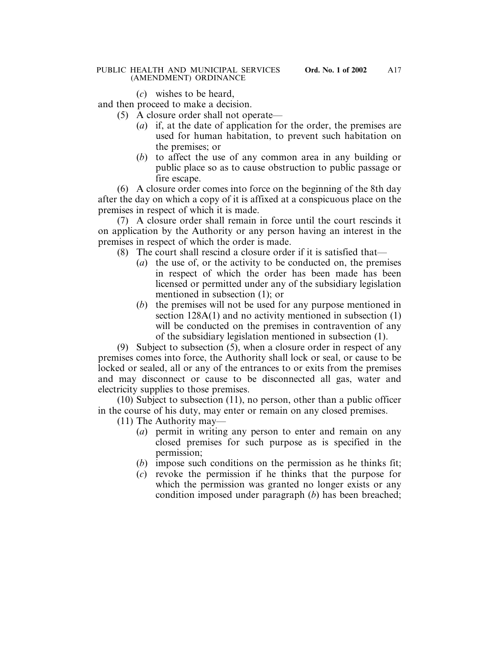## PUBLIC HEALTH AND MUNICIPAL SERVICES **Ord. No. 1 of 2002** (AMENDMENT) ORDINANCE

(*c*) wishes to be heard,

and then proceed to make a decision.

- (5) A closure order shall not operate—
	- (*a*) if, at the date of application for the order, the premises are used for human habitation, to prevent such habitation on the premises; or
	- (*b*) to affect the use of any common area in any building or public place so as to cause obstruction to public passage or fire escape.

(6) A closure order comes into force on the beginning of the 8th day after the day on which a copy of it is affixed at a conspicuous place on the premises in respect of which it is made.

(7) A closure order shall remain in force until the court rescinds it on application by the Authority or any person having an interest in the premises in respect of which the order is made.

- (8) The court shall rescind a closure order if it is satisfied that—
	- (*a*) the use of, or the activity to be conducted on, the premises in respect of which the order has been made has been licensed or permitted under any of the subsidiary legislation mentioned in subsection (1); or
	- (*b*) the premises will not be used for any purpose mentioned in section  $128A(1)$  and no activity mentioned in subsection (1) will be conducted on the premises in contravention of any of the subsidiary legislation mentioned in subsection (1).

(9) Subject to subsection (5), when a closure order in respect of any premises comes into force, the Authority shall lock or seal, or cause to be locked or sealed, all or any of the entrances to or exits from the premises and may disconnect or cause to be disconnected all gas, water and electricity supplies to those premises.

(10) Subject to subsection (11), no person, other than a public officer in the course of his duty, may enter or remain on any closed premises.

(11) The Authority may—

- (*a*) permit in writing any person to enter and remain on any closed premises for such purpose as is specified in the permission;
- (*b*) impose such conditions on the permission as he thinks fit;
- (*c*) revoke the permission if he thinks that the purpose for which the permission was granted no longer exists or any condition imposed under paragraph (*b*) has been breached;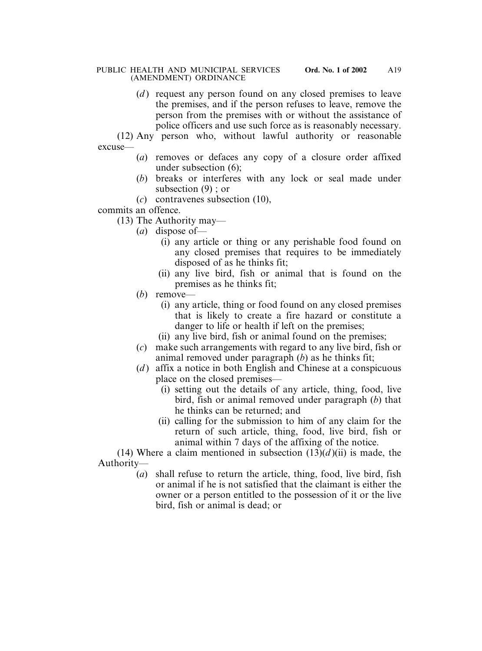(*d*) request any person found on any closed premises to leave the premises, and if the person refuses to leave, remove the person from the premises with or without the assistance of police officers and use such force as is reasonably necessary.

(12) Any person who, without lawful authority or reasonable excuse—

- (*a*) removes or defaces any copy of a closure order affixed under subsection (6);
- (*b*) breaks or interferes with any lock or seal made under subsection (9) ; or
- (*c*) contravenes subsection (10),

commits an offence.

(13) The Authority may—

- (*a*) dispose of—
	- (i) any article or thing or any perishable food found on any closed premises that requires to be immediately disposed of as he thinks fit;
	- (ii) any live bird, fish or animal that is found on the premises as he thinks fit;
- (*b*) remove—
	- (i) any article, thing or food found on any closed premises that is likely to create a fire hazard or constitute a danger to life or health if left on the premises;
	- (ii) any live bird, fish or animal found on the premises;
- (*c*) make such arrangements with regard to any live bird, fish or animal removed under paragraph (*b*) as he thinks fit;
- (*d*) affix a notice in both English and Chinese at a conspicuous place on the closed premises—
	- (i) setting out the details of any article, thing, food, live bird, fish or animal removed under paragraph (*b*) that he thinks can be returned; and
	- (ii) calling for the submission to him of any claim for the return of such article, thing, food, live bird, fish or animal within 7 days of the affixing of the notice.

(14) Where a claim mentioned in subsection  $(13)(d)$ (ii) is made, the Authority—

(*a*) shall refuse to return the article, thing, food, live bird, fish or animal if he is not satisfied that the claimant is either the owner or a person entitled to the possession of it or the live bird, fish or animal is dead; or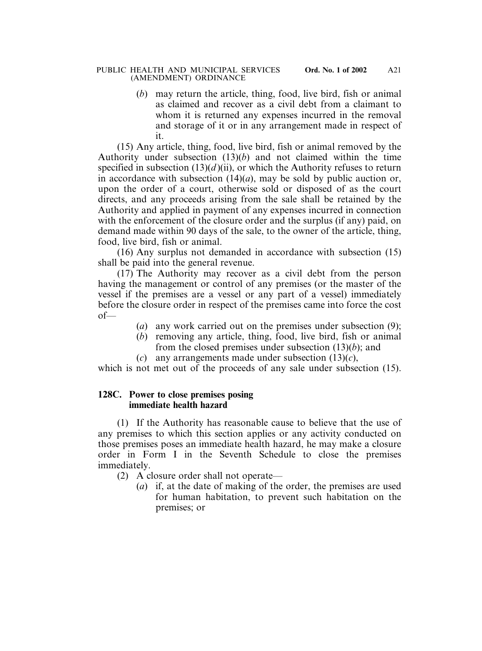## PUBLIC HEALTH AND MUNICIPAL SERVICES **Ord. No. 1 of 2002** (AMENDMENT) ORDINANCE

(*b*) may return the article, thing, food, live bird, fish or animal as claimed and recover as a civil debt from a claimant to whom it is returned any expenses incurred in the removal and storage of it or in any arrangement made in respect of it.

(15) Any article, thing, food, live bird, fish or animal removed by the Authority under subsection (13)(*b*) and not claimed within the time specified in subsection  $(13)(d)$  (ii), or which the Authority refuses to return in accordance with subsection  $(14)(a)$ , may be sold by public auction or, upon the order of a court, otherwise sold or disposed of as the court directs, and any proceeds arising from the sale shall be retained by the Authority and applied in payment of any expenses incurred in connection with the enforcement of the closure order and the surplus (if any) paid, on demand made within 90 days of the sale, to the owner of the article, thing, food, live bird, fish or animal.

(16) Any surplus not demanded in accordance with subsection (15) shall be paid into the general revenue.

(17) The Authority may recover as a civil debt from the person having the management or control of any premises (or the master of the vessel if the premises are a vessel or any part of a vessel) immediately before the closure order in respect of the premises came into force the cost of—

- (*a*) any work carried out on the premises under subsection (9);
- (*b*) removing any article, thing, food, live bird, fish or animal from the closed premises under subsection (13)(*b*); and
	- (*c*) any arrangements made under subsection (13)(*c*),

which is not met out of the proceeds of any sale under subsection  $(15)$ .

# **128C. Power to close premises posing immediate health hazard**

(1) If the Authority has reasonable cause to believe that the use of any premises to which this section applies or any activity conducted on those premises poses an immediate health hazard, he may make a closure order in Form I in the Seventh Schedule to close the premises immediately.

- (2) A closure order shall not operate—
	- (*a*) if, at the date of making of the order, the premises are used for human habitation, to prevent such habitation on the premises; or

A21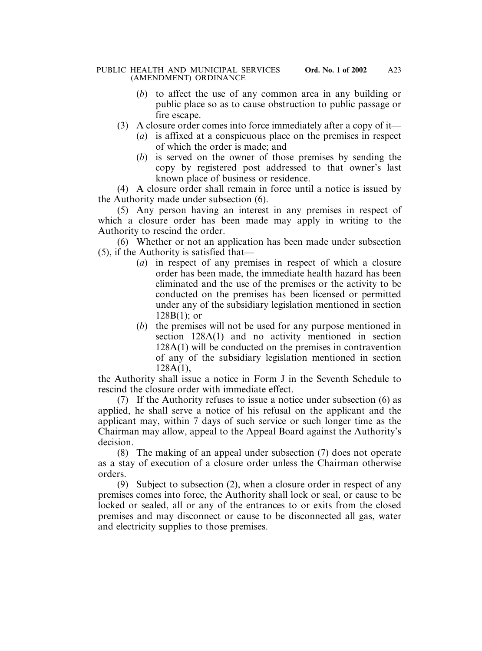- (*b*) to affect the use of any common area in any building or public place so as to cause obstruction to public passage or fire escape.
- (3) A closure order comes into force immediately after a copy of it—
	- (*a*) is affixed at a conspicuous place on the premises in respect of which the order is made; and
	- (*b*) is served on the owner of those premises by sending the copy by registered post addressed to that owner's last known place of business or residence.

(4) A closure order shall remain in force until a notice is issued by the Authority made under subsection (6).

(5) Any person having an interest in any premises in respect of which a closure order has been made may apply in writing to the Authority to rescind the order.

(6) Whether or not an application has been made under subsection (5), if the Authority is satisfied that—

- (*a*) in respect of any premises in respect of which a closure order has been made, the immediate health hazard has been eliminated and the use of the premises or the activity to be conducted on the premises has been licensed or permitted under any of the subsidiary legislation mentioned in section  $128B(1)$ ; or
- (*b*) the premises will not be used for any purpose mentioned in section 128A(1) and no activity mentioned in section 128A(1) will be conducted on the premises in contravention of any of the subsidiary legislation mentioned in section 128A(1),

the Authority shall issue a notice in Form J in the Seventh Schedule to rescind the closure order with immediate effect.

(7) If the Authority refuses to issue a notice under subsection (6) as applied, he shall serve a notice of his refusal on the applicant and the applicant may, within 7 days of such service or such longer time as the Chairman may allow, appeal to the Appeal Board against the Authority's decision.

(8) The making of an appeal under subsection (7) does not operate as a stay of execution of a closure order unless the Chairman otherwise orders.

(9) Subject to subsection (2), when a closure order in respect of any premises comes into force, the Authority shall lock or seal, or cause to be locked or sealed, all or any of the entrances to or exits from the closed premises and may disconnect or cause to be disconnected all gas, water and electricity supplies to those premises.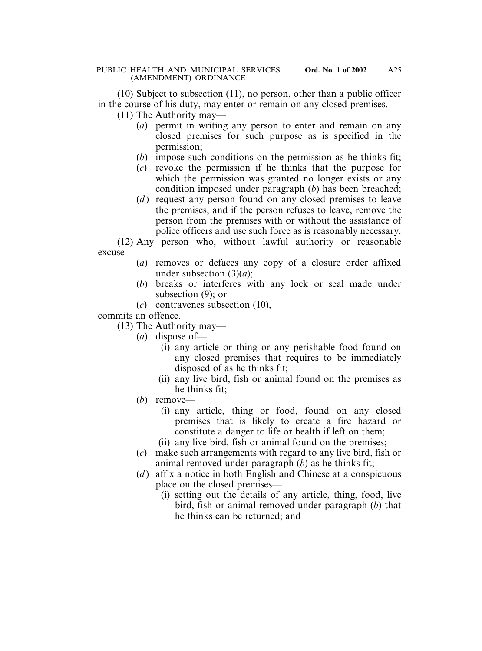(10) Subject to subsection (11), no person, other than a public officer in the course of his duty, may enter or remain on any closed premises.

(11) The Authority may—

- (*a*) permit in writing any person to enter and remain on any closed premises for such purpose as is specified in the permission;
- (*b*) impose such conditions on the permission as he thinks fit;
- (*c*) revoke the permission if he thinks that the purpose for which the permission was granted no longer exists or any condition imposed under paragraph (*b*) has been breached;
- (*d*) request any person found on any closed premises to leave the premises, and if the person refuses to leave, remove the person from the premises with or without the assistance of police officers and use such force as is reasonably necessary.

(12) Any person who, without lawful authority or reasonable excuse—

- (*a*) removes or defaces any copy of a closure order affixed under subsection (3)(*a*);
- (*b*) breaks or interferes with any lock or seal made under subsection (9); or
- (*c*) contravenes subsection (10),

commits an offence.

(13) The Authority may—

- (*a*) dispose of—
	- (i) any article or thing or any perishable food found on any closed premises that requires to be immediately disposed of as he thinks fit;
	- (ii) any live bird, fish or animal found on the premises as he thinks fit;
- (*b*) remove—
	- (i) any article, thing or food, found on any closed premises that is likely to create a fire hazard or constitute a danger to life or health if left on them;
	- (ii) any live bird, fish or animal found on the premises;
- (*c*) make such arrangements with regard to any live bird, fish or animal removed under paragraph (*b*) as he thinks fit;
- (*d*) affix a notice in both English and Chinese at a conspicuous place on the closed premises—
	- (i) setting out the details of any article, thing, food, live bird, fish or animal removed under paragraph (*b*) that he thinks can be returned; and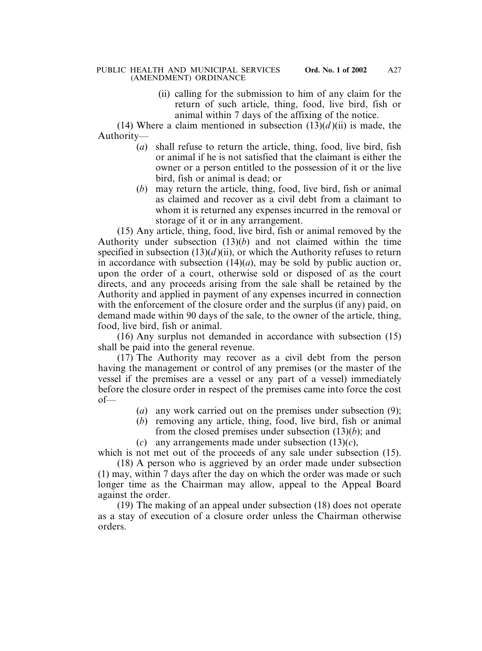(ii) calling for the submission to him of any claim for the return of such article, thing, food, live bird, fish or animal within 7 days of the affixing of the notice.

(14) Where a claim mentioned in subsection  $(13)(d)$  (ii) is made, the Authority—

- (*a*) shall refuse to return the article, thing, food, live bird, fish or animal if he is not satisfied that the claimant is either the owner or a person entitled to the possession of it or the live bird, fish or animal is dead; or
- (*b*) may return the article, thing, food, live bird, fish or animal as claimed and recover as a civil debt from a claimant to whom it is returned any expenses incurred in the removal or storage of it or in any arrangement.

(15) Any article, thing, food, live bird, fish or animal removed by the Authority under subsection (13)(*b*) and not claimed within the time specified in subsection  $(13)(d)(ii)$ , or which the Authority refuses to return in accordance with subsection  $(14)(a)$ , may be sold by public auction or, upon the order of a court, otherwise sold or disposed of as the court directs, and any proceeds arising from the sale shall be retained by the Authority and applied in payment of any expenses incurred in connection with the enforcement of the closure order and the surplus (if any) paid, on demand made within 90 days of the sale, to the owner of the article, thing, food, live bird, fish or animal.

(16) Any surplus not demanded in accordance with subsection (15) shall be paid into the general revenue.

(17) The Authority may recover as a civil debt from the person having the management or control of any premises (or the master of the vessel if the premises are a vessel or any part of a vessel) immediately before the closure order in respect of the premises came into force the cost of—

- (*a*) any work carried out on the premises under subsection (9);
- (*b*) removing any article, thing, food, live bird, fish or animal from the closed premises under subsection (13)(*b*); and
- (*c*) any arrangements made under subsection (13)(*c*),

which is not met out of the proceeds of any sale under subsection (15).

(18) A person who is aggrieved by an order made under subsection (1) may, within 7 days after the day on which the order was made or such longer time as the Chairman may allow, appeal to the Appeal Board against the order.

(19) The making of an appeal under subsection (18) does not operate as a stay of execution of a closure order unless the Chairman otherwise orders.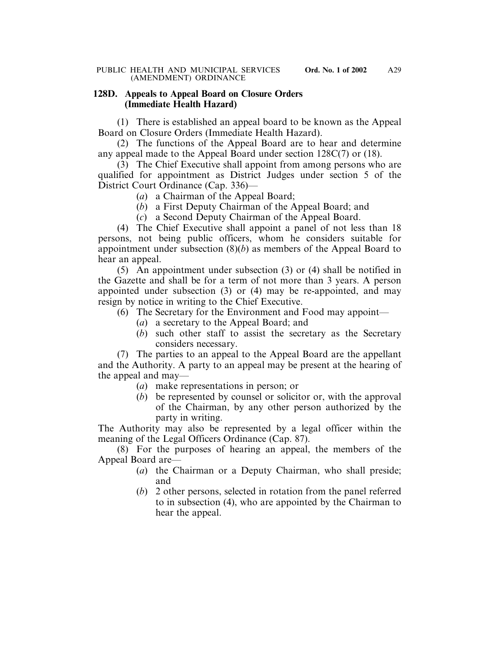# **128D. Appeals to Appeal Board on Closure Orders (Immediate Health Hazard)**

(1) There is established an appeal board to be known as the Appeal Board on Closure Orders (Immediate Health Hazard).

(2) The functions of the Appeal Board are to hear and determine any appeal made to the Appeal Board under section 128C(7) or (18).

(3) The Chief Executive shall appoint from among persons who are qualified for appointment as District Judges under section 5 of the District Court Ordinance (Cap. 336)—

- (*a*) a Chairman of the Appeal Board;
- (*b*) a First Deputy Chairman of the Appeal Board; and
- (*c*) a Second Deputy Chairman of the Appeal Board.

(4) The Chief Executive shall appoint a panel of not less than 18 persons, not being public officers, whom he considers suitable for appointment under subsection  $(8)(b)$  as members of the Appeal Board to hear an appeal.

(5) An appointment under subsection (3) or (4) shall be notified in the Gazette and shall be for a term of not more than 3 years. A person appointed under subsection (3) or (4) may be re-appointed, and may resign by notice in writing to the Chief Executive.

- (6) The Secretary for the Environment and Food may appoint—
	- (*a*) a secretary to the Appeal Board; and
	- (*b*) such other staff to assist the secretary as the Secretary considers necessary.

(7) The parties to an appeal to the Appeal Board are the appellant and the Authority. A party to an appeal may be present at the hearing of the appeal and may—

- (*a*) make representations in person; or
- (*b*) be represented by counsel or solicitor or, with the approval of the Chairman, by any other person authorized by the party in writing.

The Authority may also be represented by a legal officer within the meaning of the Legal Officers Ordinance (Cap. 87).

(8) For the purposes of hearing an appeal, the members of the Appeal Board are—

- (*a*) the Chairman or a Deputy Chairman, who shall preside; and
- (*b*) 2 other persons, selected in rotation from the panel referred to in subsection (4), who are appointed by the Chairman to hear the appeal.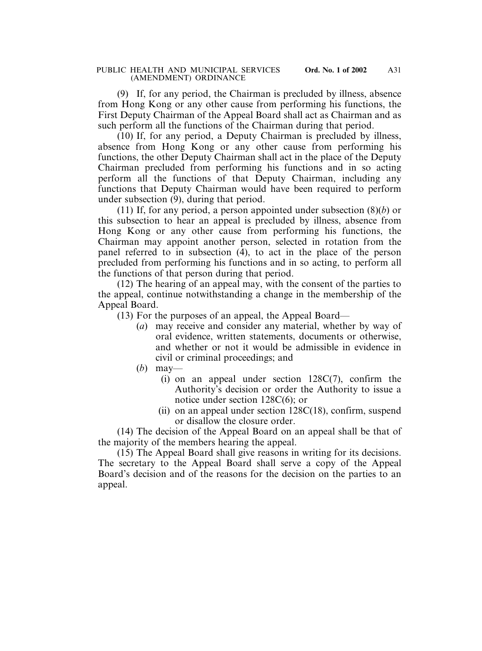(9) If, for any period, the Chairman is precluded by illness, absence from Hong Kong or any other cause from performing his functions, the First Deputy Chairman of the Appeal Board shall act as Chairman and as such perform all the functions of the Chairman during that period.

(10) If, for any period, a Deputy Chairman is precluded by illness, absence from Hong Kong or any other cause from performing his functions, the other Deputy Chairman shall act in the place of the Deputy Chairman precluded from performing his functions and in so acting perform all the functions of that Deputy Chairman, including any functions that Deputy Chairman would have been required to perform under subsection (9), during that period.

(11) If, for any period, a person appointed under subsection (8)(*b*) or this subsection to hear an appeal is precluded by illness, absence from Hong Kong or any other cause from performing his functions, the Chairman may appoint another person, selected in rotation from the panel referred to in subsection (4), to act in the place of the person precluded from performing his functions and in so acting, to perform all the functions of that person during that period.

(12) The hearing of an appeal may, with the consent of the parties to the appeal, continue notwithstanding a change in the membership of the Appeal Board.

(13) For the purposes of an appeal, the Appeal Board—

- (*a*) may receive and consider any material, whether by way of oral evidence, written statements, documents or otherwise, and whether or not it would be admissible in evidence in civil or criminal proceedings; and
- (*b*) may—
	- (i) on an appeal under section 128C(7), confirm the Authority's decision or order the Authority to issue a notice under section 128C(6); or
	- (ii) on an appeal under section 128C(18), confirm, suspend or disallow the closure order.

(14) The decision of the Appeal Board on an appeal shall be that of the majority of the members hearing the appeal.

(15) The Appeal Board shall give reasons in writing for its decisions. The secretary to the Appeal Board shall serve a copy of the Appeal Board's decision and of the reasons for the decision on the parties to an appeal.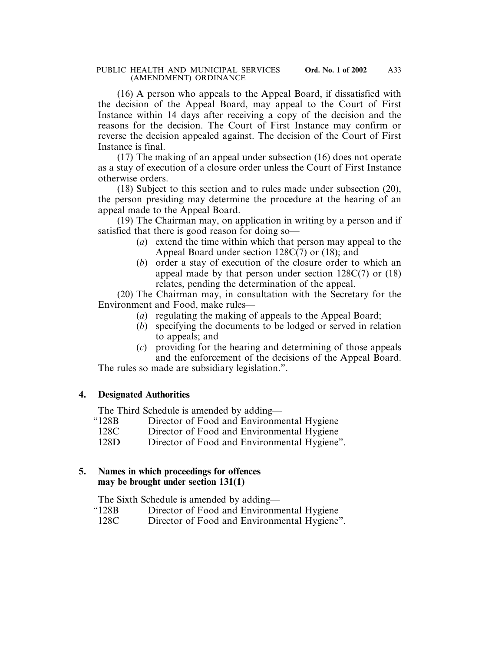(16) A person who appeals to the Appeal Board, if dissatisfied with the decision of the Appeal Board, may appeal to the Court of First Instance within 14 days after receiving a copy of the decision and the reasons for the decision. The Court of First Instance may confirm or reverse the decision appealed against. The decision of the Court of First Instance is final.

(17) The making of an appeal under subsection (16) does not operate as a stay of execution of a closure order unless the Court of First Instance otherwise orders.

(18) Subject to this section and to rules made under subsection (20), the person presiding may determine the procedure at the hearing of an appeal made to the Appeal Board.

(19) The Chairman may, on application in writing by a person and if satisfied that there is good reason for doing so—

- (*a*) extend the time within which that person may appeal to the Appeal Board under section 128C(7) or (18); and
- (*b*) order a stay of execution of the closure order to which an appeal made by that person under section 128C(7) or (18) relates, pending the determination of the appeal.

(20) The Chairman may, in consultation with the Secretary for the Environment and Food, make rules—

- (*a*) regulating the making of appeals to the Appeal Board;
- (*b*) specifying the documents to be lodged or served in relation to appeals; and
- (*c*) providing for the hearing and determining of those appeals and the enforcement of the decisions of the Appeal Board.

The rules so made are subsidiary legislation.".

# **4. Designated Authorities**

The Third Schedule is amended by adding—

- "128B Director of Food and Environmental Hygiene
	- 128C Director of Food and Environmental Hygiene
	- 128D Director of Food and Environmental Hygiene".

# **5. Names in which proceedings for offences may be brought under section 131(1)**

The Sixth Schedule is amended by adding—

- "128B Director of Food and Environmental Hygiene
- 128C Director of Food and Environmental Hygiene".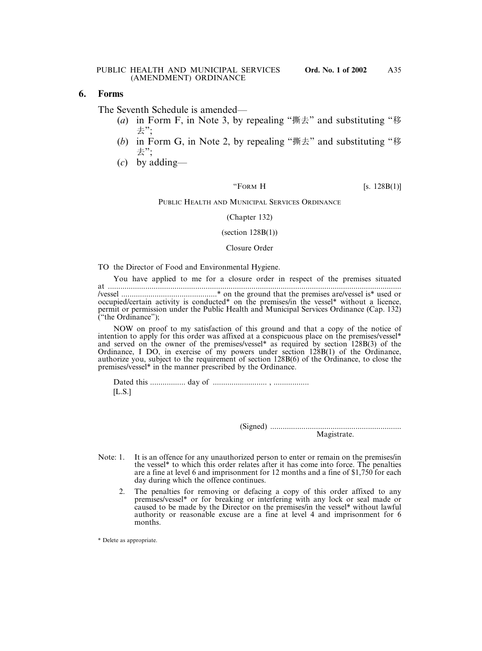## **6. Forms**

The Seventh Schedule is amended—

- (*a*) in Form F, in Note 3, by repealing "撕去" and substituting "移 去";
- (*b*) in Form G, in Note 2, by repealing "撕去" and substituting "移 去";
- (*c*) by adding—

"FORM H  $[s. 128B(1)]$ 

## PUBLIC HEALTH AND MUNICIPAL SERVICES ORDINANCE

(Chapter 132)

(section  $128B(1)$ )

## Closure Order

TO the Director of Food and Environmental Hygiene.

You have applied to me for a closure order in respect of the premises situated at ............................................................................................................................................. /vessel ..............................................\* on the ground that the premises are/vessel is\* used or occupied/certain activity is conducted\* on the premises/in the vessel\* without a licence, permit or permission under the Public Health and Municipal Services Ordinance (Cap. 132) ("the Ordinance");

NOW on proof to my satisfaction of this ground and that a copy of the notice of intention to apply for this order was affixed at a conspicuous place on the premises/vessel\* and served on the owner of the premises/vessel\* as required by section 128B(3) of the Ordinance, I DO, in exercise of my powers under section 128B(1) of the Ordinance, authorize you, subject to the requirement of section 128B(6) of the Ordinance, to close the premises/vessel\* in the manner prescribed by the Ordinance.

Dated this ................. day of .......................... , .................  $[L.S.]$ 

> (Signed) ............................................................... Magistrate.

- Note: 1. It is an offence for any unauthorized person to enter or remain on the premises/in the vessel\* to which this order relates after it has come into force. The penalties are a fine at level 6 and imprisonment for 12 months and a fine of \$1,750 for each day during which the offence continues.
	- 2. The penalties for removing or defacing a copy of this order affixed to any premises/vessel\* or for breaking or interfering with any lock or seal made or caused to be made by the Director on the premises/in the vessel\* without lawful authority or reasonable excuse are a fine at level 4 and imprisonment for 6 months.

\* Delete as appropriate.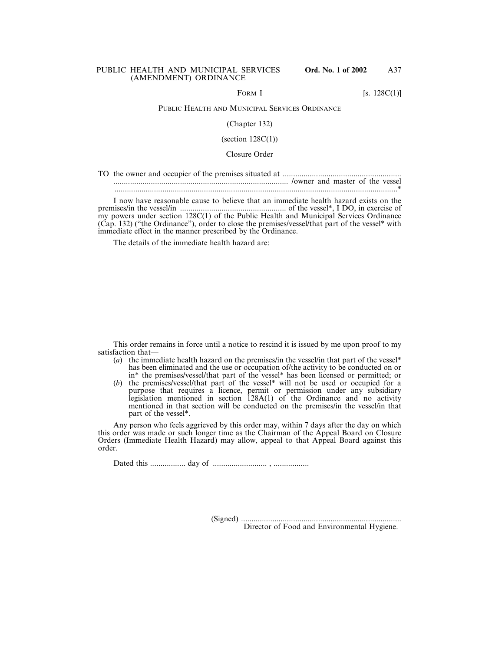FORM I [s.  $128C(1)$ ]

## PUBLIC HEALTH AND MUNICIPAL SERVICES ORDINANCE

### (Chapter 132)

(section  $128C(1)$ )

## Closure Order

I now have reasonable cause to believe that an immediate health hazard exists on the premises/in the vessel/in ................................................... of the vessel\*, I DO, in exercise of my powers under section 128C(1) of the Public Health and Municipal Services Ordinance (Cap. 132) ("the Ordinance"), order to close the premises/vessel/that part of the vessel\* with immediate effect in the manner prescribed by the Ordinance.

The details of the immediate health hazard are:

This order remains in force until a notice to rescind it is issued by me upon proof to my satisfaction that—

- (*a*) the immediate health hazard on the premises/in the vessel/in that part of the vessel\* has been eliminated and the use or occupation of/the activity to be conducted on or in\* the premises/vessel/that part of the vessel\* has been licensed or permitted; or
- (*b*) the premises/vessel/that part of the vessel\* will not be used or occupied for a purpose that requires a licence, permit or permission under any subsidiary legislation mentioned in section 128A(1) of the Ordinance and no activity mentioned in that section will be conducted on the premises/in the vessel/in that part of the vessel\*.

Any person who feels aggrieved by this order may, within 7 days after the day on which this order was made or such longer time as the Chairman of the Appeal Board on Closure Orders (Immediate Health Hazard) may allow, appeal to that Appeal Board against this order.

Dated this ................. day of .......................... , .................

(Signed) ............................................................................. Director of Food and Environmental Hygiene.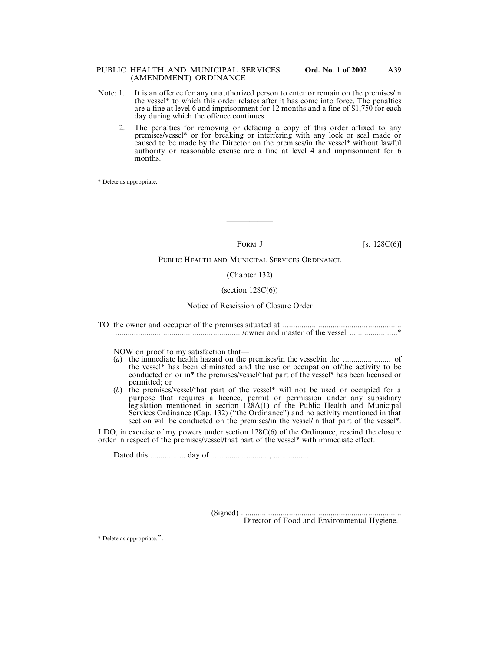### PUBLIC HEALTH AND MUNICIPAL SERVICES **Ord. No. 1 of 2002** (AMENDMENT) ORDINANCE

- Note: 1. It is an offence for any unauthorized person to enter or remain on the premises/in the vessel\* to which this order relates after it has come into force. The penalties are a fine at level 6 and imprisonment for 12 months and a fine of \$1,750 for each day during which the offence continues.
	- 2. The penalties for removing or defacing a copy of this order affixed to any premises/vessel\* or for breaking or interfering with any lock or seal made or caused to be made by the Director on the premises/in the vessel\* without lawful authority or reasonable excuse are a fine at level 4 and imprisonment for 6 months.

\* Delete as appropriate.

——————

FORM J [s.  $128C(6)$ ]

## PUBLIC HEALTH AND MUNICIPAL SERVICES ORDINANCE

### (Chapter 132)

## (section  $128C(6)$ )

## Notice of Rescission of Closure Order

TO the owner and occupier of the premises situated at ......................................................... ............................................................ /owner and master of the vessel .......................\*

NOW on proof to my satisfaction that—

- (*a*) the immediate health hazard on the premises/in the vessel/in the ....................... of the vessel\* has been eliminated and the use or occupation of/the activity to be conducted on or in\* the premises/vessel/that part of the vessel\* has been licensed or permitted; or
- (*b*) the premises/vessel/that part of the vessel\* will not be used or occupied for a purpose that requires a licence, permit or permission under any subsidiary legislation mentioned in section 128A(1) of the Public Health and Municipal Services Ordinance (Cap. 132) ("the Ordinance") and no activity mentioned in that section will be conducted on the premises/in the vessel/in that part of the vessel\*.

I DO, in exercise of my powers under section 128C(6) of the Ordinance, rescind the closure order in respect of the premises/vessel/that part of the vessel\* with immediate effect.

Dated this ................. day of .......................... , .................

(Signed) .............................................................................

Director of Food and Environmental Hygiene.

\* Delete as appropriate.".